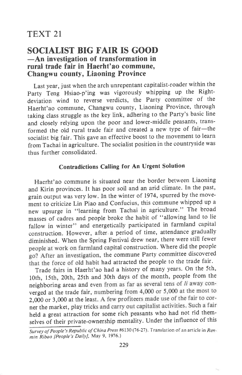# TEXT 2I

# SOCIALIST BIG FAIR IS GOOD<br>
— An investigation of transformation in -An investigation of transformation in rural trade fair in Haerht'ao commune, Changwu county, Liaoning Province

Last year, just when the arch unrepentant capitalist-roader within the Party Teng Hsiao-p'ing was vigorously whipping up the Rightdeviation wind to reverse verdicts, the Party committee of the Haerht'ao commune, Changwu county, Liaoning Province, through taking class struggle as the key link, adhering to the Party's basic line and closely relying upon the poor and lower-middle peasants, transformed the old rural trade fair and created a new type of fair-the socialist big fair. This gave an effective boost to the movement to learn from Tachai in agriculture. The socialist position in the countryside was thus further consolidated.

# Contradictions Calling for An Urgent Solution

Haerht'ao commune is situated near the border between Liaoning and Kirin provinces. It has poor soil and an arid climate. In the past, grain output was very low. In the winter of 1974, spurred by the movement to criticize Lin Piao and Confucius, this commune whipped up <sup>a</sup> new upsurge in "learning from Tachai in agriculture." The broad masses of cadres and people broke the habit of "allowing land to lie fallow in winter" and energetically participated in farmland capital construction. However, after. a period of time, attendance gradually diminished. When the Spring Festival drew near, there were still fewer people at work on farmland capital construction. Where did the people go? After an investigation, the commune Party committee discovered that the force of old habit had attracted the people to the trade fair.

Trade fairs in Haerht'ao had a history of many years. on the 5th, lOth, l5th, 2fth, 25th and 30th days of the month, people from the neighboring areas and even from as far as several tens of li away converged at the trade fair, numbering from 4,000 or 5,000 at the most to 2,000 or 3,000 at the least. A few profiteers made use of the fair to corner the market, play tricks and carry out capitalist activities. Such a fair held a great attraction for some rich peasants who had not rid themselves of their private-ownership mentality. Under the influence of this

Survey of People's Republic of China Press #6130 (76-27). Translation of an article in Renmin Ribao [People's Daily], May 9, 1976.)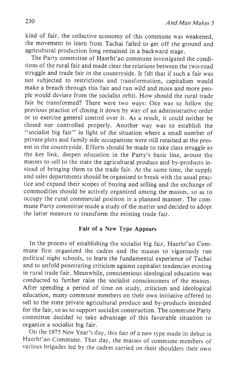kind of fair, the collective economy of this commune was weakened, the movement to learn from Tachai failed to get off the ground and agricultural production long remained in a backward stage.

The Party committee of Haerht'ao commune investigated the conditions of the rural fair and made clear the relations between the two-road struggle and trade fair in the countryside. It felt that if such a fair was not subjected to restrictions and transformation, capitalism would make a breach through this fair and run wild and more and more people would deviate from the socialist orbit. How should the rural trade fair be transformed? There were two ways: One was to follow the previous practice of closing it down by way of an administrative order or to exercise general control over it. As a result, it could neither be closed nor controlled properly. Another way was to establish the "socialist big fair" in light of the situation where a small number of private plots and family side occupations were still retained at the present in the countryside. Efforts should be made to take class struggle as the key link, deepen education in the Party's basic line, arouse the masses to sell to the state the agricultural produce and by-products instead of bringing them to the trade fair. At the same time, the supply and sales departments should be organized to break with the usual practice and expand their scopes of buying and selling and the exchange of commodities should be actively organized among the masses, so as to occupy the rural commercial position in a planned manner. The commune Party committee made a study of the matter and decided to adopt the latter measure to transform the existing trade fair.

## Fair of a New Type Appears

In the process of establishing the socialist big fair, Haerht'ao Commune first organized the cadres and the masses to vigorously run political night schools, to learn the fundamental experience of Tachai and to unfold penetrating criticism against capitalist tendencies existing in rural trade fair. Meanwhile, conscientious ideological education was conducted to further raise the socialist consciousness of the masses. After spending a period of time on study, criticism and ideological education, many commune members on their own initiative offered to sell to the state private agricultural produce and by-products intended for the fair, so as to support socialist construction. The commune Party committee decided to take advantage of this favorable situation to organize a socialist big fair.

on the 1975 New Year's day, this fair of a new type made its debut in Haerht'ao commune. That day, the masses of commune members of various brigades led by the cadres carried on their shoulders their own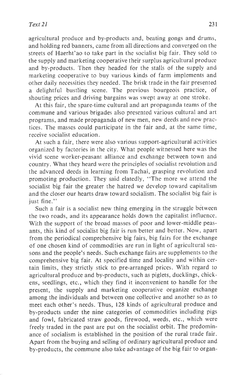agricultural produce and by-products and, beating gongs and drums, and holding red banners, came from all directions and converged on the streets of Haerht'ao to take part in the socialist big fair. They sold to the supply and marketing cooperative their surplus agricultural produce and by-products. Then they headed for the stalls of the supply and marketing cooperative to buy various kinds of farm implements and other daily necessities they needed. The brisk trade in the fair presented a delightful bustling scene. The previous bourgeois practice, of shouting prices and driving bargains was swept away at one stroke.

At this fair, the spare-time cultural and art propaganda teams of the commune and various brigades also presented various cultural and art programs, and made propaganda of new men, new deeds and new practices. The masses could participate in the fair and, at the same time, receive socialist education.

At such a fair, there were also various support-agricultural activities organized by factories in the city. What people witnessed here was the vivid scene worker-peasant alliance and exchange between town and country. What they heard were the principles of socialist revolution and the advanced deeds in learning from Tachai, grasping revolution and promoting production. They said elatedly, "The more we attend the socialist big fair the greater the hatred we develop toward capitalism and the closer our hearts draw toward socialism. The socialist big fair is just fine."

Such a fair is a socialist new thing emerging in the struggle between the two roads, and its appearance holds down the capitalist influence. With the support of the broad masses of poor and lower-middle peasants, this kind of socialist big fair is run better and better. Now, apart from the periodical comprehensive big fairs, big fairs for the exchange of one chosen kind of commodities are run in light of agricultural seasons and the people's needs. Such exchange fairs are supplements to the comprehensive big fair. At specified time and locality and within certain limits, they strictly stick to pre-arranged prices. With regard to agricultural produce and by-products, such as piglets, ducklings, chickens, seedlings, etc., which they find it inconvenient to handle for the present, the supply and marketing cooperative organize exchange among the individuals and between one collective and another so as to meet each other's needs. Thus, 128 kinds of agricultural produce and by-products under the nine categories of commodities including pigs and fowl, fabricated straw goods, firewood, weeds, etc., which were freely traded in the past are put on the socialist orbit. The predominance of socialism is established in the position of the rural trade fair. Apart from the buying and selling of ordinary agricultural produce and by-products, the commune also take advantage of the big fair to organ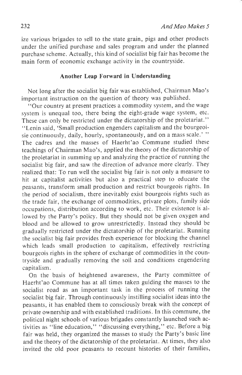ize various brigades to sell to the state grain, pigs and other products under the unified purchase and sales program and under the planned purchase scheme. Actually, this kind of socialist big fair has become the main form of economic exchange activity in the countryside.

#### Another Leap Forward in Understanding

Not long after the socialist big fair was established, Chairman Mao's important instruction on the question of theory was published.

"Our country at present practices a commodity system, and the wage system is unequal too, there being the eight-grade wage system, etc. These can only be restricted under the dictatorship of the proletariat." "Lenin said, 'Small production engenders capitalism and the bourgeoisie continuously, daily, hourly, spontaneously, and on a mass scale.' " The cadres and the masses of Haerht'ao Commune studied these teachings of Chairman Mao's, applied the theory of the dictatorship of the proletariat in summing up and analyzing the practice of running the socialist big fair, and saw the direction of advance more clearly. They realized that: To run well the socialist big fair is not only a measure to hit at capitalist activities but also a practical step to educate the peasants, transform small production and restrict bourgeois rights. ln the period of socialism, there inevitably exist bourgeois rights such as the trade fair, the exchange of commodities, private plots, family side occupations, distribution according to work, etc. Their existence is'allowed by the Party's policy. But they should not be given oxygen and blood and be allowed to grow unrestrictedly. Instead they should be gradually restricted under the dictatorship of the proletariat. Running the socialist big fair provides fresh experience for blocking the channel which leads small production to capitalism, effectively restricting bourgeois rights in the sphere of exchange of commodities in the countryside and gradually removing the soil and conditions engendering capitalism.

On the basis of heightened awareness, the Party committee of Haerht'ao Commune has at all times taken guiding the masses to the socialist road as an important task in the process of running the socialist big fair. Through continuously instilling socialist ideas into the peasants, it has enabled them to consciously break with the concept of private ownership and with established traditions. In this commune, the political night schools of various brigades constantly launched such activities as "line education," "discussing everything," etc. Before a big fair was held, they organized the masses to study the Party's basic line and the theory of the dictatorship of the proletariat. At times, they also invited the old poor peasants to recount histories of their families,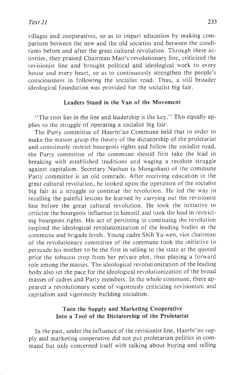villages and cooperatives, so as to impart education by making comparison between the new and the old societies and between the conditions before and after the great cultural revolution. Through these activities, they praised Chairman Mao's revolutionary line, criticized the revisionist line and brought political and ideological work to every house and every heart, so as to continuously strengthen the people's consciousness in following the socialist road. Thus, a still broader ideological foundation was provided for the socialist big fair.

#### Leaders Stand in the Van of the Movement

"The root lies in the line and leadership is the key." This equally applies to the struggle of operating a socialist big fair.

The Party committee of Haerht'ao Commune held that in order to make the masses grasp the theory of the dictatorship of the proletariat and consciously restrict bourgeois rights and follow the socialist road, the Party committee of the commune should first take the lead in breaking with established traditions and waging a resolute struggle against capitalism. Secretary Nashun (a Mongolian) of the commune Party committee is an old comrade. After receiving education in the great cultural revolution, he looked upon the operation of the socialist big fair as a struggle to continue the revolution. He led the way in recalling the painful lessons he learned by carrying out the revisionist line before the great cultural revolution. He took the initiative to criticize the bourgeois influence in himself and took the lead in restricting bourgeois rights. His act of persisting in continuing the revolution inspired the ideological revolutionization of the leading bodies at the commune and brigade levels. Young cadre Shih Ya-wen, vice chairman of the revolutionary committee of the commune took the initiative to persuade his mother to be the first in selling to the state at the quoted price the tobacco crop from her private plot, thus playing a forward role among the masses. The ideological revolutionization of the leading body also set the pace for the ideological revolutionization of the broad masses of cadres and Party members. In the whole commune, there appeared a revolutionary scene of vigorously criticizing revisionism and capitalism and vigorously building socialism.

# Turn the Supply and Marketing Cooperative Inlo a Too! of the Dictatorship of the Proletariat

In the past, under the influence of the revisionist line, Haerht'ao supply and marketing cooperative did not put proletarian politics in command but only concerned itself with talking about buying and selling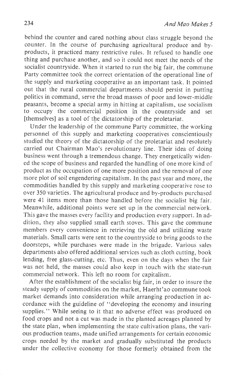behind the counter and cared nothing about class struggle beyond the counter. In the course of purchasing agricultural produce and byproducts, it practiced many restrictive rules. It refused to handle one thing and purchase another, and so it could not meet the needs of the socialist countryside. When it started to run the big fair, the commune Party committee took the correct orientation of the operational line of the supply and marketing cooperative as an important task. It pointed out that the rural commercial departments should persist in putting politics in command, serve the broad masses of poor and lower-middle peasants, become a special army in hitting at capitalism, use socialism to occupy the commercial position in the countryside and set [themselves] as a tool of the dictatorship of the proletariat.

Under the leadership of the commune Party committee, the working personnel of this supply and marketing cooperatives conscientiously studied the theory of the dictatorship of the proletariat and resolutely carried out Chairman Mao's revolutionary line. Their idea of doing business went through a tremendous change. They energetically widened the scope of business and regarded the handling of one more kind of product as the occupation of one more position and the removal of one more plot of soil engendering capitalism. In the past year and more, the commodities handled by this supply and marketing cooperative rose to over 350 varieties. The agricultural produce and by-products purchased were 41 items more than those handled before the socialist big fair. Meanwhile, additional points were set up in the commercial network. This gave the masses every facility and production every support. In addition, they also supplied small earth stoves. This gave the commune members every convenience in retrieving the old and utilizing waste materials. Small carts were sent to the countryside to bring goods to the doorsteps, while purchases were made in the brigade. Various sales departments also offered additional services such as cloth cutting, book lending, free glass-cutting, etc. Thus, even on the days when the fair was not held, the masses could also keep in touch with the state-run commercial network. This left no room for capitalism.

After the establishment of the socialist big fair, in order to insure the steady supply of commodities on the market, Haerht'ao commune took market demands into consideration while arranging production in accordance with the guideline of "developing the economy and insuring supplies." While seeing to it that no adverse effect was produced on food crops and not a cut was made in the planted acreages planned by the state plan, when implementing the state cultivation plans, the various production teams, made unified arrangements for certain economic crops needed by the market and gradually substituted the products under the collective economy for those formerly obtained from the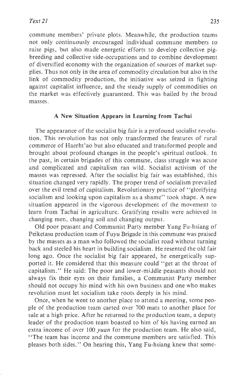commune members' private plots. Meanwhile, the production teams not only continuously encouraged individual commune members to raise pigs, but also made energetic efforts to develop collective pigbreeding and collective side-occupations and to combine development of diversified economy with the organization of sources of market supplies. Thus not only in the area of commodity circulation but also in the link of commodity production, the initiative was seized in fighting against capitaiist influence, and the steady supply of commodities on the market was effectively guaranteed. This was hailed by the broad masses.

## A New Situation Appears in Learning from Tachai

The appearance of the socialist big fair is a profound socialist revolution. This revolution has not only transformed the features of rural commerce of Haerht'ao but also educated and transformed people and brought about profound changes in the people's spiritual outlook. In the past, in certain brigades of this commune, class struggle was acute and complicated and capitalism ran wild. Socialist activism of the masses was repressed. After the socialist big fair was established, this situation changed very rapidly. The proper trend of socialism prevailed over the evil trend of capitalism. Revolutionary practice of "glorifying socialism and looking upon capitalism as a shame" took shape. A new situation appeared in the vigorous development of the movement to learn from Tachai in agricuiture. Gratifying results were achieved in changing men, changing soil and changing output.

Old poor peasant and Communist Party member Yang Fu-hsiang of Peiketasu production team of Fuyu Brigade in this commune was praised by the masses as a man who followed the socialist road without turning back and steeled his heart in building socialism. He resented the old fair long ago. Once the socialist big fair appeared, he energetically supported it. He considered that this measure could "get at the throat of capitalism." He said: The poor and lower-miJdle peasants should not always fix their eyes on their families, a Communist Party member should not occupy his mind with his own business and one who makes revolution must let socialism take roots deeply in his mind.

Once, when he went to another place to attend a meeting, some people of the production team carted over 700 mats to another place for sale at a high price. After he returned to the production team, a deputy leader of the production team boasted to him of his having earned an extra income of over 100 *yuan* for the production team. He also said, "The team has income and the commune members are satisfied. This pleases both sides." On hearing this, Yang Fu-hsiang knew that some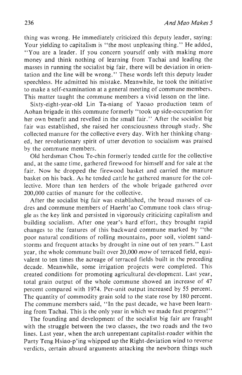thing was wrong. He immediately criticized this deputy leader, saying: Your yielding to capitalism is "the most unpleasing thing." He added, "You are a leader. If you concern yourself only with making more money and think nothing of learning from Tachai and leading the masses in running the socialist big fair, there will be deviation in orientation and the line will be wrong." These words left this deputy leader speechless. He admitted his mistake. Meanwhile, he took the initiative to make a self-examination at a general meeting of commune members. This matter taught the commune members a vivid lesson on the line.

Sixty-eight-year-old Lin Ta-niang of Yaoao production team of Aohan brigade in this commune formerly "took up side-occupation for her own benefit and revelled in the small fair." After the socialist big fair was established, she raised her consciousness through study. She collected manure for the collective every day. With her thinking changed, her revolutionary spirit of utter devotion to socialism was praised by the commune members.

Old herdsman Chou Te-chin formerly tended cattle for the collective and, at the same time, gathered firewood for himself and for sale at the fair. Now he dropped the firewood basket and carried the manure basket on his back. As he tended cattle he gathered manure for the collective. More than ten herders of the whole brigade gathered over 200,000 catties of manure for the collective.

After the socialist big fair was established, the broad masses of cadres and commune members of Haerht'ao Commune took class struggle as the key link and persisted in vigorously criticizing capitalism and building sociaiism. After one year's hard effort, they brought rapid changes to the features of this backward commune marked by "the poor natural conditions of rolling mountains, poor soil, violent sandstorms and frequent attacks by drought in nine out of ten years." Last year, the whole commune built over 20,000 mow of terraced field, equivalent to ten times the acreage of terraced fields built in the preceding decade. Meanwhile, some irrigation projects were completed. This created conditions for promoting agricultural development. Last year, total grain output of the whole commune showed an increase of <sup>47</sup> percent compared with 1974. Per-unit output increased by 55 percent. The quantity of commodity grain sold to the state rose by 180 percent. Ihe commune members said, "In the past decade, we have been learning from Tachai. This is the only year in which we made fast progress!"

The founding and development of the socialist big fair are fraught with the struggle between the two classes, the two roads and the two lines. Last year, when the arch unrepentant capitalist-roader within the Party Teng Hsiao-p'ing whipped up the Right-deviation wind to reverse verdicts, certain absurd arguments attacking the newborn things such